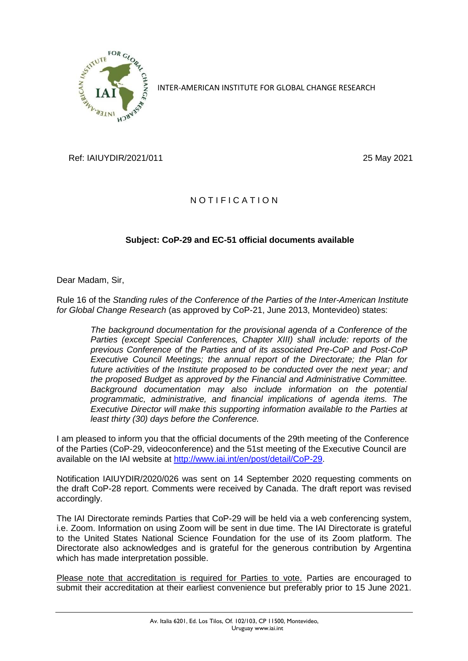

INTER-AMERICAN INSTITUTE FOR GLOBAL CHANGE RESEARCH

Ref: IAIUYDIR/2021/011 25 May 2021

## NOTIFICATION

## **Subject: CoP-29 and EC-51 official documents available**

Dear Madam, Sir,

Rule 16 of the *Standing rules of the Conference of the Parties of the Inter-American Institute for Global Change Research* (as approved by CoP-21, June 2013, Montevideo) states:

*The background documentation for the provisional agenda of a Conference of the Parties (except Special Conferences, Chapter XIII) shall include: reports of the previous Conference of the Parties and of its associated Pre-CoP and Post-CoP Executive Council Meetings; the annual report of the Directorate; the Plan for future activities of the Institute proposed to be conducted over the next year; and the proposed Budget as approved by the Financial and Administrative Committee. Background documentation may also include information on the potential programmatic, administrative, and financial implications of agenda items. The Executive Director will make this supporting information available to the Parties at least thirty (30) days before the Conference.*

I am pleased to inform you that the official documents of the 29th meeting of the Conference of the Parties (CoP-29, videoconference) and the 51st meeting of the Executive Council are available on the IAI website at [http://www.iai.int/en/post/detail/CoP-29.](http://www.iai.int/en/post/detail/CoP-29)

Notification IAIUYDIR/2020/026 was sent on 14 September 2020 requesting comments on the draft CoP-28 report. Comments were received by Canada. The draft report was revised accordingly.

The IAI Directorate reminds Parties that CoP-29 will be held via a web conferencing system, i.e. Zoom. Information on using Zoom will be sent in due time. The IAI Directorate is grateful to the United States National Science Foundation for the use of its Zoom platform. The Directorate also acknowledges and is grateful for the generous contribution by Argentina which has made interpretation possible.

Please note that accreditation is required for Parties to vote. Parties are encouraged to submit their accreditation at their earliest convenience but preferably prior to 15 June 2021.